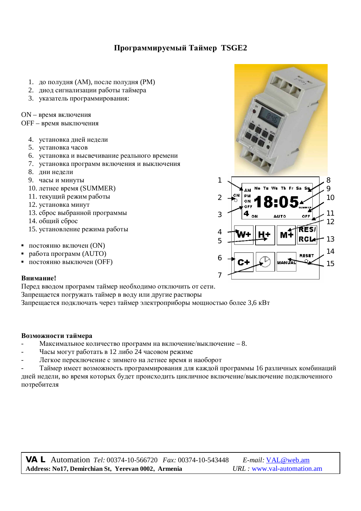# Программируемый Таймер TSGE2

- 1. до полудня (AM), после полудня (PM)
- 2. диод сигнализации работы таймера
- 3. Указатель программирования:

ON - время включения

OFF - время выключения

- 4. установка дней недели
- 5. установка часов
- 6. установка и высвечивание реального времени
- 7. установка программ включения и выключения
- 8. дни недели
- 9. часы и минуты
- 10. летнее время (SUMMER)
- 11. текущий режим работы
- 12. установка минут
- 13. сброс выбранной программы
- 14. общий сброс
- 15. установление режима работы
- постоянно включен (ON)
- **работа программ (AUTO)**
- постоянно выключен (OFF)

### **Внимание!**

Перед вводом программ таймер необходимо отключить от сети.

Запрещается погружать таймер в воду или другие растворы

Запрешается подключать через таймер электроприборы мошностью более 3.6 кВт

### Возможности таймера

- Максимальное количество программ на включение/выключение 8.
- Часы могут работать в 12 либо 24 часовом режиме
- Легкое переключение с зимнего на летнее время и наоборот

Таймер имеет возможность программирования для каждой программы 16 различных комбинаций дней недели, во время которых будет происходить цикличное включение/выключение подключенного потребителя

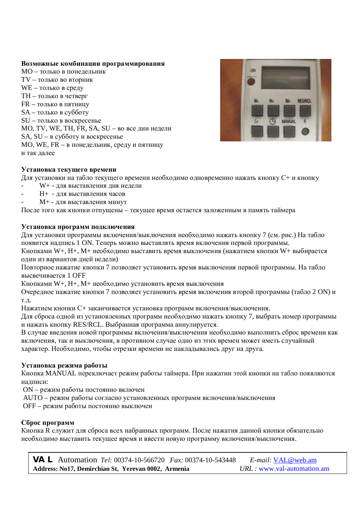### Возможные комбинации программирования

MO – только в понелельник  $TV$  – только во вторник WE – только в среду ТН – только в четверг  $FR$  – только в пятницу SA – только в субботу  $SU$  – только в воскресенье MO, TV, WE, TH, FR, SA, SU – во все дни недели SA,  $SU - B$  субботу и воскресенье MO, WE, FR – в понелельник, среду и пятницу и так лалее



# **Установка текущего времени**

Для установки на табло текущего времени необходимо одновременно нажать кнопку  $C+$  и кнопку

- W+ для выставления дня недели
- H+ для выставления часов
- М+ для выставления минут

После того как кнопки отпущены - текущее время остается заложенным в память таймера

# Установка программ подключения

Для установки программы включения/выключения необходимо нажать кнопку 7 (см. рис.) На табло появится надпись 1 ON. Теперь можно выставлять время включения первой программы.

Кнопками W+, H+, М+ необходимо выставить время выключения (нажатием кнопки W+ выбирается один из вариантов дней недели)

Повторное нажатие кнопки 7 позволяет установить время выключения первой программы. На табло **высвечивается 1 OFF** 

Кнопками W+, H+, M+ необходимо установить время выключения

Очередное нажатие кнопки 7 позволяет установить время включения второй программы (табло 2 ON) и Т.Л.

Нажатием кнопки С+ заканчивается установка программ включения/выключения.

Для сброса одной из установленных программ необходимо нажать кнопку 7, выбрать номер программы и нажать кнопку RES/RCL. Выбранная программа аннулируется.

В случае введения новой программы включения/выключения необходимо выполнить сброс времени как включения, так и выключения, в противном случае одно из этих времен может иметь случайный характер. Необходимо, чтобы отрезки времени не накладывались друг на друга.

# Установка режима работы

Кнопка MANUAL переключает режим работы таймера. При нажатии этой кнопки на табло появляются налписи:

ON – режим работы постоянно включен

AUTO – режим работы согласно установленных программ включения/выключения

ОFF – режим работы постоянно выключен

# Сброс программ

Кнопка R служит для сброса всех набранных программ. После нажатия данной кнопки обязательно необходимо выставить текущее время и ввести новую программу включения/выключения.

**VAL** Automation *Tel:* 00374-10-566720 *Fax:* 00374-10-543448 *E-mail:* [VAL@web.am](mailto:VAL@web.am) **Address: No17, Demirchian St, Yerevan 0002, Armenia** *URL :* [www.val-automation.am](http://www.val-automation.am)